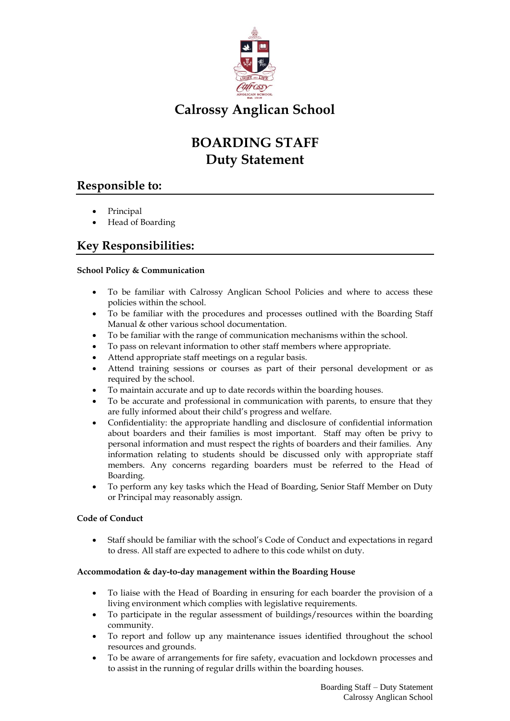

# **Calrossy Anglican School**

# **BOARDING STAFF Duty Statement**

## **Responsible to:**

- Principal
- Head of Boarding

## **Key Responsibilities:**

### **School Policy & Communication**

- To be familiar with Calrossy Anglican School Policies and where to access these policies within the school.
- To be familiar with the procedures and processes outlined with the Boarding Staff Manual & other various school documentation.
- To be familiar with the range of communication mechanisms within the school.
- To pass on relevant information to other staff members where appropriate.
- Attend appropriate staff meetings on a regular basis.
- Attend training sessions or courses as part of their personal development or as required by the school.
- To maintain accurate and up to date records within the boarding houses.
- To be accurate and professional in communication with parents, to ensure that they are fully informed about their child's progress and welfare.
- Confidentiality: the appropriate handling and disclosure of confidential information about boarders and their families is most important. Staff may often be privy to personal information and must respect the rights of boarders and their families. Any information relating to students should be discussed only with appropriate staff members. Any concerns regarding boarders must be referred to the Head of Boarding.
- To perform any key tasks which the Head of Boarding, Senior Staff Member on Duty or Principal may reasonably assign.

### **Code of Conduct**

 Staff should be familiar with the school's Code of Conduct and expectations in regard to dress. All staff are expected to adhere to this code whilst on duty.

### **Accommodation & day-to-day management within the Boarding House**

- To liaise with the Head of Boarding in ensuring for each boarder the provision of a living environment which complies with legislative requirements.
- To participate in the regular assessment of buildings/resources within the boarding community.
- To report and follow up any maintenance issues identified throughout the school resources and grounds.
- To be aware of arrangements for fire safety, evacuation and lockdown processes and to assist in the running of regular drills within the boarding houses.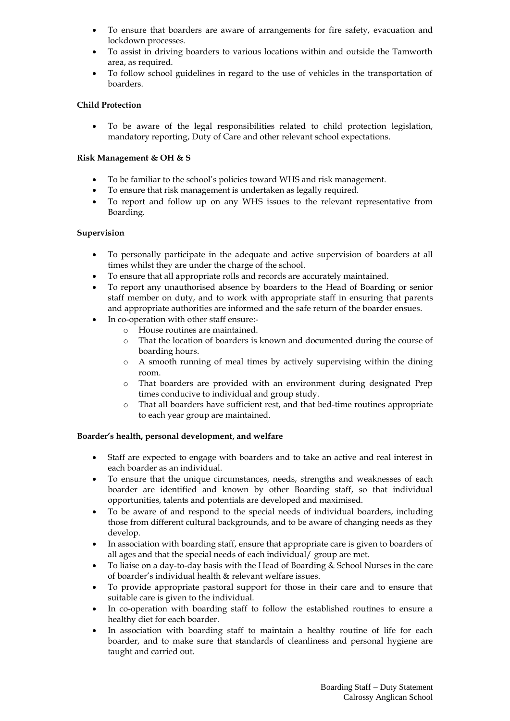- To ensure that boarders are aware of arrangements for fire safety, evacuation and lockdown processes.
- To assist in driving boarders to various locations within and outside the Tamworth area, as required.
- To follow school guidelines in regard to the use of vehicles in the transportation of boarders.

#### **Child Protection**

 To be aware of the legal responsibilities related to child protection legislation, mandatory reporting, Duty of Care and other relevant school expectations.

#### **Risk Management & OH & S**

- To be familiar to the school's policies toward WHS and risk management.
- To ensure that risk management is undertaken as legally required.
- To report and follow up on any WHS issues to the relevant representative from Boarding.

#### **Supervision**

- To personally participate in the adequate and active supervision of boarders at all times whilst they are under the charge of the school.
- To ensure that all appropriate rolls and records are accurately maintained.
- To report any unauthorised absence by boarders to the Head of Boarding or senior staff member on duty, and to work with appropriate staff in ensuring that parents and appropriate authorities are informed and the safe return of the boarder ensues.
- In co-operation with other staff ensure:
	- o House routines are maintained.
	- o That the location of boarders is known and documented during the course of boarding hours.
	- o A smooth running of meal times by actively supervising within the dining room.
	- o That boarders are provided with an environment during designated Prep times conducive to individual and group study.
	- o That all boarders have sufficient rest, and that bed-time routines appropriate to each year group are maintained.

#### **Boarder's health, personal development, and welfare**

- Staff are expected to engage with boarders and to take an active and real interest in each boarder as an individual.
- To ensure that the unique circumstances, needs, strengths and weaknesses of each boarder are identified and known by other Boarding staff, so that individual opportunities, talents and potentials are developed and maximised.
- To be aware of and respond to the special needs of individual boarders, including those from different cultural backgrounds, and to be aware of changing needs as they develop.
- In association with boarding staff, ensure that appropriate care is given to boarders of all ages and that the special needs of each individual/ group are met.
- To liaise on a day-to-day basis with the Head of Boarding & School Nurses in the care of boarder's individual health & relevant welfare issues.
- To provide appropriate pastoral support for those in their care and to ensure that suitable care is given to the individual.
- In co-operation with boarding staff to follow the established routines to ensure a healthy diet for each boarder.
- In association with boarding staff to maintain a healthy routine of life for each boarder, and to make sure that standards of cleanliness and personal hygiene are taught and carried out.